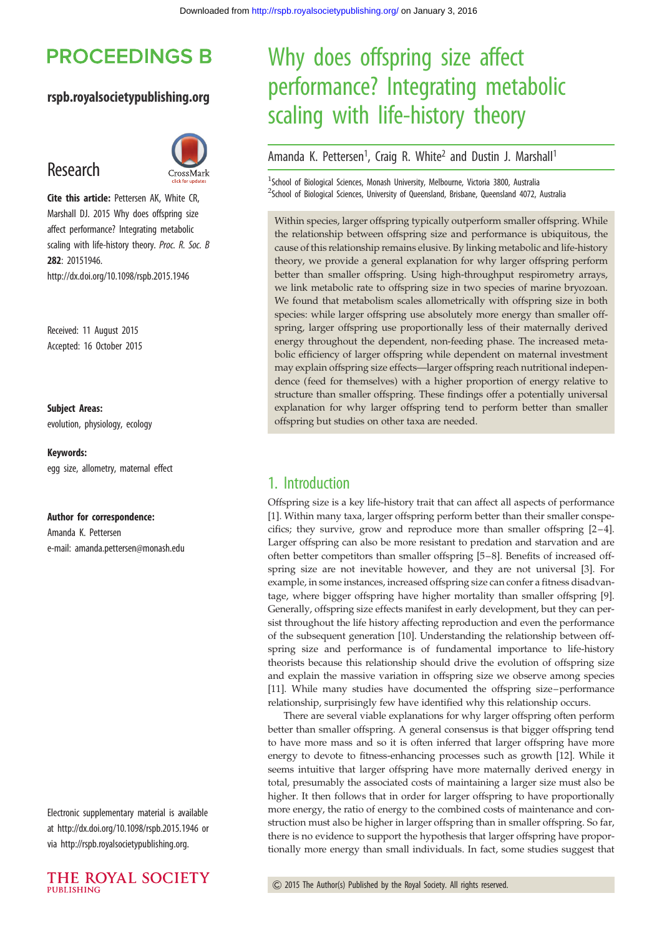## **PROCEEDINGS B**

#### rspb.royalsocietypublishing.org

## Research



Cite this article: Pettersen AK, White CR, Marshall DJ. 2015 Why does offspring size affect performance? Integrating metabolic scaling with life-history theory. Proc. R. Soc. B 282: 20151946. http://dx.doi.org/10.1098/rspb.2015.1946

Received: 11 August 2015 Accepted: 16 October 2015

#### Subject Areas:

evolution, physiology, ecology

Keywords: egg size, allometry, maternal effect

#### Author for correspondence:

Amanda K. Pettersen e-mail: [amanda.pettersen@monash.edu](mailto:amanda.pettersen@monash.edu)

Electronic supplementary material is available at<http://dx.doi.org/10.1098/rspb.2015.1946> or via<http://rspb.royalsocietypublishing.org>.



# Why does offspring size affect performance? Integrating metabolic scaling with life-history theory

#### Amanda K. Pettersen<sup>1</sup>, Craig R. White<sup>2</sup> and Dustin J. Marshall<sup>1</sup>

<sup>1</sup>School of Biological Sciences, Monash University, Melbourne, Victoria 3800, Australia <sup>2</sup>School of Biological Sciences, University of Queensland, Brisbane, Queensland 4072, Australia

Within species, larger offspring typically outperform smaller offspring. While the relationship between offspring size and performance is ubiquitous, the cause of this relationship remains elusive. By linking metabolic and life-history theory, we provide a general explanation for why larger offspring perform better than smaller offspring. Using high-throughput respirometry arrays, we link metabolic rate to offspring size in two species of marine bryozoan. We found that metabolism scales allometrically with offspring size in both species: while larger offspring use absolutely more energy than smaller offspring, larger offspring use proportionally less of their maternally derived energy throughout the dependent, non-feeding phase. The increased metabolic efficiency of larger offspring while dependent on maternal investment may explain offspring size effects—larger offspring reach nutritional independence (feed for themselves) with a higher proportion of energy relative to structure than smaller offspring. These findings offer a potentially universal explanation for why larger offspring tend to perform better than smaller offspring but studies on other taxa are needed.

#### 1. Introduction

Offspring size is a key life-history trait that can affect all aspects of performance [[1](#page-7-0)]. Within many taxa, larger offspring perform better than their smaller conspecifics; they survive, grow and reproduce more than smaller offspring [\[2](#page-7-0)–[4\]](#page-7-0). Larger offspring can also be more resistant to predation and starvation and are often better competitors than smaller offspring [[5](#page-7-0)–[8\]](#page-7-0). Benefits of increased offspring size are not inevitable however, and they are not universal [[3](#page-7-0)]. For example, in some instances, increased offspring size can confer a fitness disadvantage, where bigger offspring have higher mortality than smaller offspring [\[9\]](#page-7-0). Generally, offspring size effects manifest in early development, but they can persist throughout the life history affecting reproduction and even the performance of the subsequent generation [[10\]](#page-7-0). Understanding the relationship between offspring size and performance is of fundamental importance to life-history theorists because this relationship should drive the evolution of offspring size and explain the massive variation in offspring size we observe among species [[11\]](#page-7-0). While many studies have documented the offspring size–performance relationship, surprisingly few have identified why this relationship occurs.

There are several viable explanations for why larger offspring often perform better than smaller offspring. A general consensus is that bigger offspring tend to have more mass and so it is often inferred that larger offspring have more energy to devote to fitness-enhancing processes such as growth [\[12](#page-7-0)]. While it seems intuitive that larger offspring have more maternally derived energy in total, presumably the associated costs of maintaining a larger size must also be higher. It then follows that in order for larger offspring to have proportionally more energy, the ratio of energy to the combined costs of maintenance and construction must also be higher in larger offspring than in smaller offspring. So far, there is no evidence to support the hypothesis that larger offspring have proportionally more energy than small individuals. In fact, some studies suggest that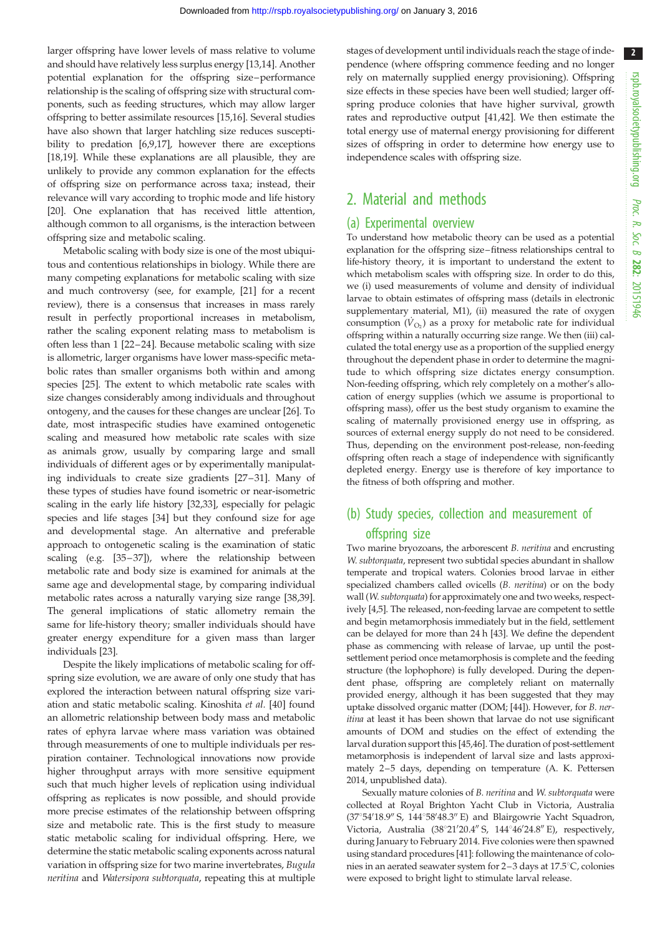2

larger offspring have lower levels of mass relative to volume and should have relatively less surplus energy [\[13,14](#page-7-0)]. Another potential explanation for the offspring size–performance relationship is the scaling of offspring size with structural components, such as feeding structures, which may allow larger offspring to better assimilate resources [[15,16](#page-7-0)]. Several studies have also shown that larger hatchling size reduces susceptibility to predation [[6,9,17](#page-7-0)], however there are exceptions [\[18,19](#page-7-0)]. While these explanations are all plausible, they are unlikely to provide any common explanation for the effects of offspring size on performance across taxa; instead, their relevance will vary according to trophic mode and life history [\[20](#page-7-0)]. One explanation that has received little attention, although common to all organisms, is the interaction between offspring size and metabolic scaling.

Metabolic scaling with body size is one of the most ubiquitous and contentious relationships in biology. While there are many competing explanations for metabolic scaling with size and much controversy (see, for example, [[21\]](#page-7-0) for a recent review), there is a consensus that increases in mass rarely result in perfectly proportional increases in metabolism, rather the scaling exponent relating mass to metabolism is often less than 1 [[22](#page-7-0)–[24](#page-7-0)]. Because metabolic scaling with size is allometric, larger organisms have lower mass-specific metabolic rates than smaller organisms both within and among species [[25](#page-7-0)]. The extent to which metabolic rate scales with size changes considerably among individuals and throughout ontogeny, and the causes for these changes are unclear [\[26](#page-7-0)]. To date, most intraspecific studies have examined ontogenetic scaling and measured how metabolic rate scales with size as animals grow, usually by comparing large and small individuals of different ages or by experimentally manipulating individuals to create size gradients [[27](#page-8-0)–[31\]](#page-8-0). Many of these types of studies have found isometric or near-isometric scaling in the early life history [\[32,33](#page-8-0)], especially for pelagic species and life stages [\[34](#page-8-0)] but they confound size for age and developmental stage. An alternative and preferable approach to ontogenetic scaling is the examination of static scaling (e.g. [[35](#page-8-0)–[37\]](#page-8-0)), where the relationship between metabolic rate and body size is examined for animals at the same age and developmental stage, by comparing individual metabolic rates across a naturally varying size range [\[38,39](#page-8-0)]. The general implications of static allometry remain the same for life-history theory; smaller individuals should have greater energy expenditure for a given mass than larger individuals [\[23](#page-7-0)].

Despite the likely implications of metabolic scaling for offspring size evolution, we are aware of only one study that has explored the interaction between natural offspring size variation and static metabolic scaling. Kinoshita et al. [[40\]](#page-8-0) found an allometric relationship between body mass and metabolic rates of ephyra larvae where mass variation was obtained through measurements of one to multiple individuals per respiration container. Technological innovations now provide higher throughput arrays with more sensitive equipment such that much higher levels of replication using individual offspring as replicates is now possible, and should provide more precise estimates of the relationship between offspring size and metabolic rate. This is the first study to measure static metabolic scaling for individual offspring. Here, we determine the static metabolic scaling exponents across natural variation in offspring size for two marine invertebrates, Bugula neritina and Watersipora subtorquata, repeating this at multiple

stages of development until individuals reach the stage of independence (where offspring commence feeding and no longer rely on maternally supplied energy provisioning). Offspring size effects in these species have been well studied; larger offspring produce colonies that have higher survival, growth rates and reproductive output [[41,42\]](#page-8-0). We then estimate the total energy use of maternal energy provisioning for different sizes of offspring in order to determine how energy use to independence scales with offspring size.

## 2. Material and methods

#### (a) Experimental overview

To understand how metabolic theory can be used as a potential explanation for the offspring size– fitness relationships central to life-history theory, it is important to understand the extent to which metabolism scales with offspring size. In order to do this, we (i) used measurements of volume and density of individual larvae to obtain estimates of offspring mass (details in electronic supplementary material, M1), (ii) measured the rate of oxygen consumption  $(\dot{V}_{O_2})$  as a proxy for metabolic rate for individual offspring within a naturally occurring size range. We then (iii) calculated the total energy use as a proportion of the supplied energy throughout the dependent phase in order to determine the magnitude to which offspring size dictates energy consumption. Non-feeding offspring, which rely completely on a mother's allocation of energy supplies (which we assume is proportional to offspring mass), offer us the best study organism to examine the scaling of maternally provisioned energy use in offspring, as sources of external energy supply do not need to be considered. Thus, depending on the environment post-release, non-feeding offspring often reach a stage of independence with significantly depleted energy. Energy use is therefore of key importance to the fitness of both offspring and mother.

#### (b) Study species, collection and measurement of offspring size

Two marine bryozoans, the arborescent B. neritina and encrusting W. subtorquata, represent two subtidal species abundant in shallow temperate and tropical waters. Colonies brood larvae in either specialized chambers called ovicells (B. neritina) or on the body wall (W. subtorquata) for approximately one and two weeks, respectively [\[4,5](#page-7-0)]. The released, non-feeding larvae are competent to settle and begin metamorphosis immediately but in the field, settlement can be delayed for more than 24 h [[43](#page-8-0)]. We define the dependent phase as commencing with release of larvae, up until the postsettlement period once metamorphosis is complete and the feeding structure (the lophophore) is fully developed. During the dependent phase, offspring are completely reliant on maternally provided energy, although it has been suggested that they may uptake dissolved organic matter (DOM; [[44\]](#page-8-0)). However, for B. neritina at least it has been shown that larvae do not use significant amounts of DOM and studies on the effect of extending the larval duration support this [\[45,46\]](#page-8-0). The duration of post-settlement metamorphosis is independent of larval size and lasts approximately 2–5 days, depending on temperature (A. K. Pettersen 2014, unpublished data).

Sexually mature colonies of B. neritina and W. subtorquata were collected at Royal Brighton Yacht Club in Victoria, Australia (37°54'18.9" S, 144°58'48.3" E) and Blairgowrie Yacht Squadron, Victoria, Australia (38°21'20.4" S, 144°46'24.8" E), respectively, during January to February 2014. Five colonies were then spawned using standard procedures [\[41](#page-8-0)]: following the maintenance of colonies in an aerated seawater system for 2-3 days at 17.5°C, colonies were exposed to bright light to stimulate larval release.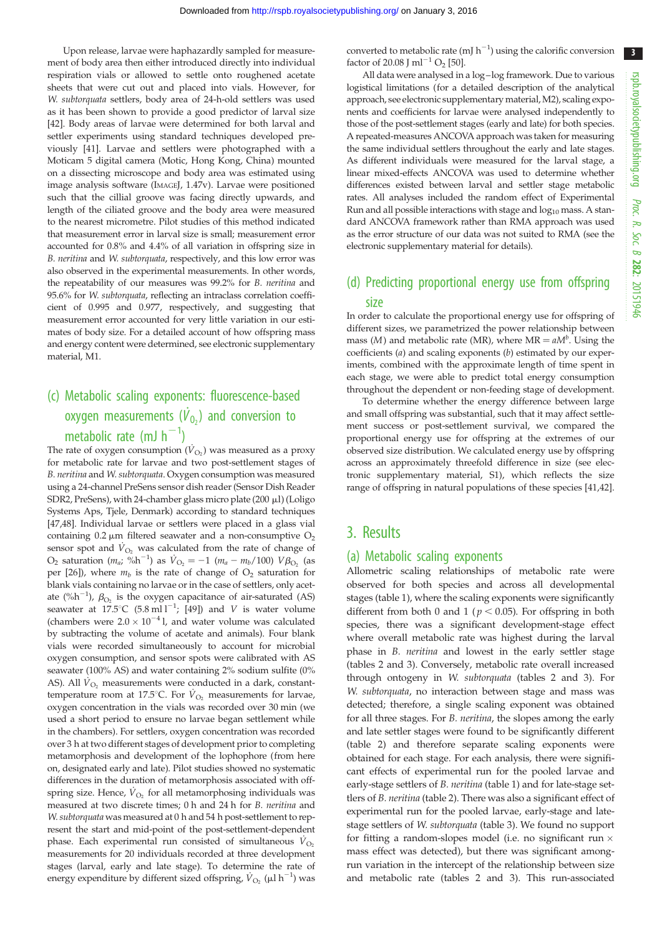Upon release, larvae were haphazardly sampled for measurement of body area then either introduced directly into individual respiration vials or allowed to settle onto roughened acetate sheets that were cut out and placed into vials. However, for W. subtorquata settlers, body area of 24-h-old settlers was used as it has been shown to provide a good predictor of larval size [\[42\]](#page-8-0). Body areas of larvae were determined for both larval and settler experiments using standard techniques developed previously [[41](#page-8-0)]. Larvae and settlers were photographed with a Moticam 5 digital camera (Motic, Hong Kong, China) mounted on a dissecting microscope and body area was estimated using image analysis software (IMAGEJ, 1.47v). Larvae were positioned such that the cillial groove was facing directly upwards, and length of the ciliated groove and the body area were measured to the nearest micrometre. Pilot studies of this method indicated that measurement error in larval size is small; measurement error accounted for 0.8% and 4.4% of all variation in offspring size in B. neritina and W. subtorquata, respectively, and this low error was also observed in the experimental measurements. In other words, the repeatability of our measures was 99.2% for B. neritina and 95.6% for W. subtorquata, reflecting an intraclass correlation coefficient of 0.995 and 0.977, respectively, and suggesting that measurement error accounted for very little variation in our estimates of body size. For a detailed account of how offspring mass and energy content were determined, see electronic supplementary material, M1.

## (c) Metabolic scaling exponents: fluorescence-based oxygen measurements  $(\dot{V}_{0_2})$  and conversion to metabolic rate (mJ  $h^{-1}$ )

The rate of oxygen consumption  $(\dot{V}_{\text{O}_2})$  was measured as a proxy for metabolic rate for larvae and two post-settlement stages of B. neritina and W. subtorquata. Oxygen consumption was measured using a 24-channel PreSens sensor dish reader (Sensor Dish Reader SDR2, PreSens), with 24-chamber glass micro plate (200  $\mu$ l) (Loligo Systems Aps, Tjele, Denmark) according to standard techniques [\[47,48](#page-8-0)]. Individual larvae or settlers were placed in a glass vial containing  $0.2 \mu m$  filtered seawater and a non-consumptive  $O_2$ sensor spot and  $\dot{V}_{\text{O}_2}$  was calculated from the rate of change of  $O_2$  saturation  $(m_a; \, ^0\!\!/\mathrm{h}^{-1})$  as  $\dot{V}_{O_2} = -1$   $(m_a - m_b/100)$   $V\beta_{O_2}$  (as per [[26](#page-7-0)]), where  $m_b$  is the rate of change of  $O_2$  saturation for blank vials containing no larvae or in the case of settlers, only acetate (%h<sup>-1</sup>),  $\beta_{\text{O}_2}$  is the oxygen capacitance of air-saturated (AS) seawater at  $17.5^{\circ}$ C (5.8 ml  $1^{-1}$ ; [[49](#page-8-0)]) and *V* is water volume (chambers were  $2.0 \times 10^{-4}$  l, and water volume was calculated by subtracting the volume of acetate and animals). Four blank vials were recorded simultaneously to account for microbial oxygen consumption, and sensor spots were calibrated with AS seawater (100% AS) and water containing 2% sodium sulfite (0% AS). All  $\dot{V}_{\text{O}_2}$  measurements were conducted in a dark, constanttemperature room at 17.5°C. For  $\dot{V}_{\text{O}_2}$  measurements for larvae, oxygen concentration in the vials was recorded over 30 min (we used a short period to ensure no larvae began settlement while in the chambers). For settlers, oxygen concentration was recorded over 3 h at two different stages of development prior to completing metamorphosis and development of the lophophore (from here on, designated early and late). Pilot studies showed no systematic differences in the duration of metamorphosis associated with offspring size. Hence,  $\dot{V}_{\text{O}_2}$  for all metamorphosing individuals was measured at two discrete times; 0 h and 24 h for B. neritina and W. subtorquata was measured at 0 h and 54 h post-settlement to represent the start and mid-point of the post-settlement-dependent phase. Each experimental run consisted of simultaneous  $\dot{V}_{\text{O}_2}$ measurements for 20 individuals recorded at three development stages (larval, early and late stage). To determine the rate of energy expenditure by different sized offspring,  $\dot{V}_{\text{O}_2}$  ( $\mu$ l h<sup>-1</sup>) was

converted to metabolic rate (mJ  $h^{-1}$ ) using the calorific conversion factor of 20.08 J ml<sup>-1</sup> O<sub>2</sub> [[50](#page-8-0)].

All data were analysed in a log–log framework. Due to various logistical limitations (for a detailed description of the analytical approach, see electronic supplementary material,M2), scaling exponents and coefficients for larvae were analysed independently to those of the post-settlement stages (early and late) for both species. A repeated-measures ANCOVA approach was taken for measuring the same individual settlers throughout the early and late stages. As different individuals were measured for the larval stage, a linear mixed-effects ANCOVA was used to determine whether differences existed between larval and settler stage metabolic rates. All analyses included the random effect of Experimental Run and all possible interactions with stage and  $log_{10}$  mass. A standard ANCOVA framework rather than RMA approach was used as the error structure of our data was not suited to RMA (see the electronic supplementary material for details).

#### (d) Predicting proportional energy use from offspring size

In order to calculate the proportional energy use for offspring of different sizes, we parametrized the power relationship between mass (*M*) and metabolic rate (MR), where  $MR = aM^b$ . Using the coefficients (a) and scaling exponents (b) estimated by our experiments, combined with the approximate length of time spent in each stage, we were able to predict total energy consumption throughout the dependent or non-feeding stage of development.

To determine whether the energy difference between large and small offspring was substantial, such that it may affect settlement success or post-settlement survival, we compared the proportional energy use for offspring at the extremes of our observed size distribution. We calculated energy use by offspring across an approximately threefold difference in size (see electronic supplementary material, S1), which reflects the size range of offspring in natural populations of these species [[41,42\]](#page-8-0).

#### 3. Results

#### (a) Metabolic scaling exponents

Allometric scaling relationships of metabolic rate were observed for both species and across all developmental stages [\(table 1\)](#page-3-0), where the scaling exponents were significantly different from both 0 and 1 ( $p < 0.05$ ). For offspring in both species, there was a significant development-stage effect where overall metabolic rate was highest during the larval phase in B. neritina and lowest in the early settler stage (tables [2](#page-4-0) and [3\)](#page-4-0). Conversely, metabolic rate overall increased through ontogeny in W. subtorquata (tables [2](#page-4-0) and [3\)](#page-4-0). For W. subtorquata, no interaction between stage and mass was detected; therefore, a single scaling exponent was obtained for all three stages. For B. neritina, the slopes among the early and late settler stages were found to be significantly different ([table 2](#page-4-0)) and therefore separate scaling exponents were obtained for each stage. For each analysis, there were significant effects of experimental run for the pooled larvae and early-stage settlers of *B. neritina* [\(table 1\)](#page-3-0) and for late-stage settlers of B. neritina ([table 2\)](#page-4-0). There was also a significant effect of experimental run for the pooled larvae, early-stage and latestage settlers of W. subtorquata ([table 3\)](#page-4-0). We found no support for fitting a random-slopes model (i.e. no significant run  $\times$ mass effect was detected), but there was significant amongrun variation in the intercept of the relationship between size and metabolic rate (tables [2](#page-4-0) and [3](#page-4-0)). This run-associated

3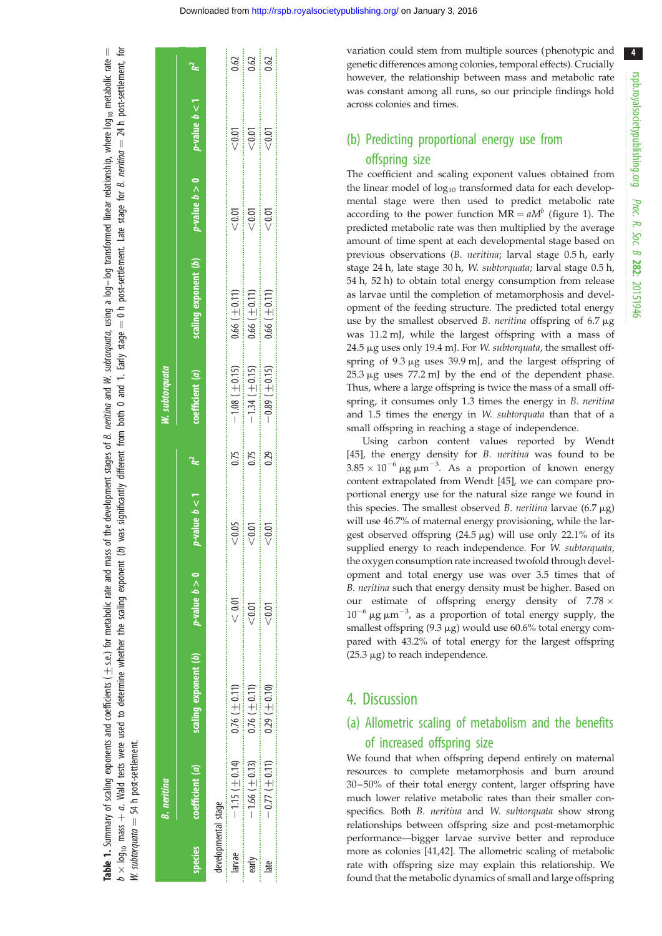<span id="page-3-0"></span>Table 1. Summary of scaling exponents and coefficients (  $\pm$  s.e.) for metabolic rate and mass of the development stages of *B. neritina* and *W. subtorquata*, using a log-log transformed linear relationship, where log<sub>10</sub> metabolic rate  $\parallel$  $b \times$  log<sub>10</sub> mass  $\boldsymbol{+}$  $+a$  . Wald tests were used to determine whether the scaling exponent (*b*) was significantly different from both 0 and 1. Early stage ¼ $= 0$  h post-settlement. Late stage for  $B$ . neritina ¼ 24 h post-settlement, for W. subtorquata W. subtorquata  $=$  54 h post-settlement. 54 h post-settlement.

|                     | <b>B.</b> neritina   |                       |                      |                               |      | N. subtorquata       |                                                                          |        |        |      |
|---------------------|----------------------|-----------------------|----------------------|-------------------------------|------|----------------------|--------------------------------------------------------------------------|--------|--------|------|
| species             | coefficient (a)      | scaling exponent (b)  | $-1$ o $<$ d anjer-d | <b>p</b> -value $b < 1$ $R^2$ |      | coefficient (a)      | scaling exponent (b) $p$ -value $b > 0$ and $p$ -value $b < 1$ and $R^2$ |        |        |      |
| developmental stage |                      |                       |                      |                               |      |                      |                                                                          |        |        |      |
| larvae              | $-1.15 \ (\pm 0.14)$ | <br>$0.76 (\pm 0.11)$ | $\leq 0.01$          | < 0.05                        | 0.75 | $-1.08 \ (\pm 0.15)$ | $0.66 (\pm 0.11)$                                                        | < 0.01 | < 0.01 | 0.62 |
| early               | $-1.66 (\pm 0.13)$   | $0.76 (\pm 0.11)$     | < 0.01               | < 0.01                        | 0.75 | $-1.34 \ (\pm 0.15)$ | $0.66 (\pm 0.11)$                                                        | < 0.01 | < 0.01 | 0.62 |
| ate                 | $-0.77(+0.11)$       | $0.29 (+ 0.10)$       | < 0.01               | $\leq 0.01$                   | 0.29 | $-0.89 \ (\pm 0.15)$ | $0.66 (+0.11)$                                                           | < 0.01 | < 0.01 | 0.62 |
|                     |                      |                       |                      |                               |      |                      |                                                                          |        |        |      |

variation could stem from multiple sources (phenotypic and genetic differences among colonies, temporal effects). Crucially however, the relationship between mass and metabolic rate was constant among all runs, so our principle findings hold across colonies and times.

#### (b) Predicting proportional energy use from offspring size

The coefficient and scaling exponent values obtained from the linear model of  $log_{10}$  transformed data for each developmental stage were then used to predict metabolic rate according to the power function  $MR = aM^b$  [\(figure 1\)](#page-5-0). The predicted metabolic rate was then multiplied by the average amount of time spent at each developmental stage based on previous observations (B. neritina; larval stage 0.5 h, early stage 24 h, late stage 30 h, W. subtorquata; larval stage 0.5 h, 54 h, 52 h) to obtain total energy consumption from release as larvae until the completion of metamorphosis and development of the feeding structure. The predicted total energy use by the smallest observed B. neritina offspring of 6.7  $\mu$ g was 11.2 mJ, while the largest offspring with a mass of 24.5  $\mu$ g uses only 19.4 mJ. For W. subtorquata, the smallest offspring of  $9.3 \mu$ g uses  $39.9 \text{ m}$ , and the largest offspring of 25.3 ug uses 77.2 mJ by the end of the dependent phase. Thus, where a large offspring is twice the mass of a small offspring, it consumes only 1.3 times the energy in B. neritina and 1.5 times the energy in W. subtorquata than that of a small offspring in reaching a stage of independence.

Using carbon content values reported by Wendt [[45\]](#page-8-0), the energy density for *B. neritina* was found to be  $3.85 \times 10^{-6}$  µg µm<sup>-3</sup>. As a proportion of known energy content extrapolated from Wendt [[45](#page-8-0)], we can compare proportional energy use for the natural size range we found in this species. The smallest observed *B. neritina* larvae  $(6.7 \mu g)$ will use 46.7% of maternal energy provisioning, while the largest observed offspring  $(24.5 \mu g)$  will use only 22.1% of its supplied energy to reach independence. For W. subtorquata, the oxygen consumption rate increased twofold through development and total energy use was over 3.5 times that of B. neritina such that energy density must be higher. Based on our estimate of offspring energy density of  $7.78 \times$  $10^{-6}$   $\mu$ g  $\mu$ m<sup>-3</sup>, as a proportion of total energy supply, the smallest offspring  $(9.3 \mu g)$  would use 60.6% total energy compared with 43.2% of total energy for the largest offspring  $(25.3 \mu g)$  to reach independence.

#### 4. Discussion

#### (a) Allometric scaling of metabolism and the benefits of increased offspring size

We found that when offspring depend entirely on maternal resources to complete metamorphosis and burn around 30–50% of their total energy content, larger offspring have much lower relative metabolic rates than their smaller conspecifics. Both B. neritina and W. subtorquata show strong relationships between offspring size and post-metamorphic performance—bigger larvae survive better and reproduce more as colonies [[41](#page-8-0),[42\]](#page-8-0). The allometric scaling of metabolic rate with offspring size may explain this relationship. We found that the metabolic dynamics of small and large offspring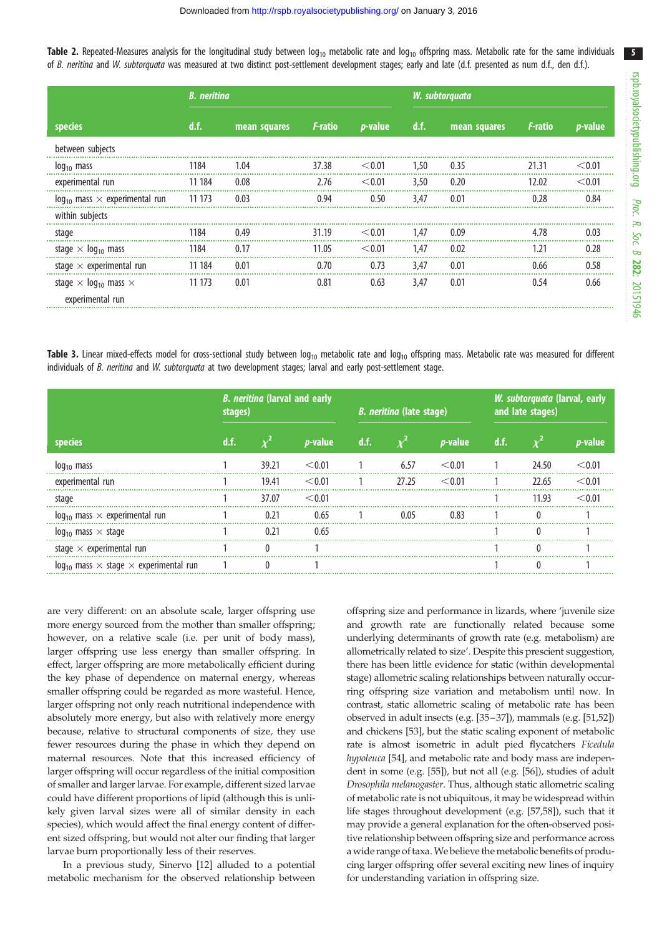5

<span id="page-4-0"></span>Table 2. Repeated-Measures analysis for the longitudinal study between  $log_{10}$  metabolic rate and  $log_{10}$  offspring mass. Metabolic rate for the same individuals of B. neritina and W. subtorquata was measured at two distinct post-settlement development stages; early and late (d.f. presented as num d.f., den d.f.).

|                                                                    | <b>B.</b> neritina |              |                 |                 |      | W. subtorquata |            |                 |  |  |
|--------------------------------------------------------------------|--------------------|--------------|-----------------|-----------------|------|----------------|------------|-----------------|--|--|
| species                                                            | d.f.               | mean squares | <i>F</i> -ratio | <i>p</i> -value | df.  | mean squares   | $F$ -ratio | <i>p</i> -value |  |  |
| between subjects                                                   |                    |              |                 |                 |      |                |            |                 |  |  |
| $log_{10}$ mass                                                    | 1184               | 1.04         | 37.38           | $<$ 0.01 $\,$   | 1.50 | 0.35           | 21.31      |                 |  |  |
| experimental run                                                   | 11 184             | 0.08         | 2.76            | < 0.01          | 3,50 | 0.20           | 12.02      | 0.01 >          |  |  |
| $log_{10}$ mass $\times$ experimental run                          | 11 173             | 0.03         | 0.94            | 0.50            | 3,47 | 0.01           | 0.28       | 0.84            |  |  |
| within subjects                                                    |                    |              |                 |                 |      |                |            |                 |  |  |
| stage                                                              | 1184               | 0.49         | 31.19           |                 | 1.47 | 0.09           | 4.78       | 0 O:            |  |  |
| stage $\times$ log <sub>10</sub> mass                              | 1184               | 0.17         | 11.05           | < 0.01          | 1.47 | 0.02           | 1.21       | 0.28            |  |  |
| stage $\times$ experimental run                                    | 11 184             | 0.01         | 0.70            | 0.73            | 3,47 | 0.01           | 0.66       | 0.58            |  |  |
| stage $\times$ log <sub>10</sub> mass $\times$<br>experimental run | 11 173             | 0.01         | 0.81            | 0.63            | 3,47 | 0.01           | 0.54       | 0.66            |  |  |

Table 3. Linear mixed-effects model for cross-sectional study between  $log_{10}$  metabolic rate and  $log_{10}$  offspring mass. Metabolic rate was measured for different individuals of B. neritina and W. subtorquata at two development stages; larval and early post-settlement stage.

|                                           | <b>B.</b> neritina (larval and early<br>stages) |       |                 | <b>B.</b> neritina (late stage) |       |                 | W. subtorquata (larval, early<br>and late stages) |       |  |
|-------------------------------------------|-------------------------------------------------|-------|-----------------|---------------------------------|-------|-----------------|---------------------------------------------------|-------|--|
|                                           | d.f.                                            |       | <i>p</i> -value | df.                             |       | <i>p</i> -value | d.f.                                              |       |  |
| $10q_{10}$ mass                           |                                                 | 39.21 | $<$ 0.01        |                                 | 657   | $<$ 0.01        |                                                   | 24 50 |  |
| experimental run                          |                                                 | 19.41 | $<$ 0.01        |                                 | 27.25 | $<$ 0.01        |                                                   | 22.65 |  |
| stage                                     |                                                 | 37.07 | $<$ 0.01        |                                 |       |                 |                                                   | 11 93 |  |
| $log_{10}$ mass $\times$ experimental run |                                                 |       | በ 65            |                                 | በ በና  | በ ጸ3            |                                                   |       |  |
| $log_{10}$ mass $\times$ stage            |                                                 | 0.21  | 0.65            |                                 |       |                 |                                                   |       |  |
| stage $\times$ experimental run           |                                                 |       |                 |                                 |       |                 |                                                   |       |  |
| stage $\times$ experimental<br>$10q_{10}$ |                                                 |       |                 |                                 |       |                 |                                                   |       |  |

are very different: on an absolute scale, larger offspring use more energy sourced from the mother than smaller offspring; however, on a relative scale (i.e. per unit of body mass), larger offspring use less energy than smaller offspring. In effect, larger offspring are more metabolically efficient during the key phase of dependence on maternal energy, whereas smaller offspring could be regarded as more wasteful. Hence, larger offspring not only reach nutritional independence with absolutely more energy, but also with relatively more energy because, relative to structural components of size, they use fewer resources during the phase in which they depend on maternal resources. Note that this increased efficiency of larger offspring will occur regardless of the initial composition of smaller and larger larvae. For example, different sized larvae could have different proportions of lipid (although this is unlikely given larval sizes were all of similar density in each species), which would affect the final energy content of different sized offspring, but would not alter our finding that larger larvae burn proportionally less of their reserves.

In a previous study, Sinervo [\[12](#page-7-0)] alluded to a potential metabolic mechanism for the observed relationship between offspring size and performance in lizards, where 'juvenile size and growth rate are functionally related because some underlying determinants of growth rate (e.g. metabolism) are allometrically related to size'. Despite this prescient suggestion, there has been little evidence for static (within developmental stage) allometric scaling relationships between naturally occurring offspring size variation and metabolism until now. In contrast, static allometric scaling of metabolic rate has been observed in adult insects (e.g. [\[35](#page-8-0)–[37](#page-8-0)]), mammals (e.g. [\[51,52](#page-8-0)]) and chickens [[53](#page-8-0)], but the static scaling exponent of metabolic rate is almost isometric in adult pied flycatchers Ficedula hypoleuca [\[54\]](#page-8-0), and metabolic rate and body mass are independent in some (e.g. [[55](#page-8-0)]), but not all (e.g. [\[56](#page-8-0)]), studies of adult Drosophila melanogaster. Thus, although static allometric scaling of metabolic rate is not ubiquitous, it may be widespread within life stages throughout development (e.g. [\[57,58\]](#page-8-0)), such that it may provide a general explanation for the often-observed positive relationship between offspring size and performance across awide range of taxa.We believe the metabolic benefits of producing larger offspring offer several exciting new lines of inquiry for understanding variation in offspring size.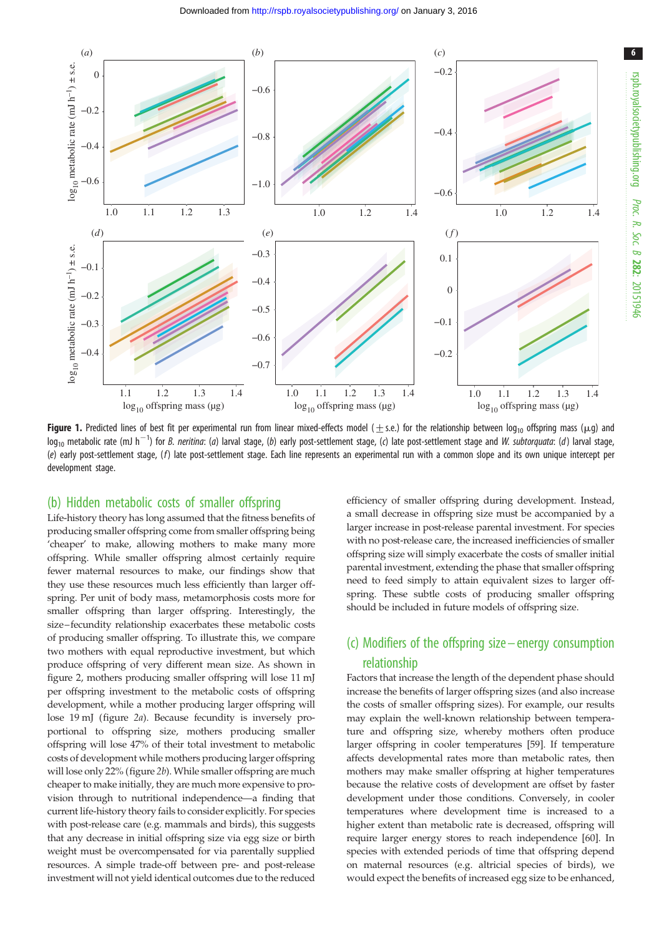<span id="page-5-0"></span>

Figure 1. Predicted lines of best fit per experimental run from linear mixed-effects model ( $\pm$ s.e.) for the relationship between log<sub>10</sub> offspring mass ( $\mu$ g) and log<sub>10</sub> metabolic rate (mJ h<sup>-1</sup>) for *B. neritina*: (a) larval stage, (b) early post-settlement stage, (c) late post-settlement stage and W. subtorquata: (d) larval stage,  $(e)$  early post-settlement stage,  $(f)$  late post-settlement stage. Each line represents an experimental run with a common slope and its own unique intercept per development stage.

#### (b) Hidden metabolic costs of smaller offspring

Life-history theory has long assumed that the fitness benefits of producing smaller offspring come from smaller offspring being 'cheaper' to make, allowing mothers to make many more offspring. While smaller offspring almost certainly require fewer maternal resources to make, our findings show that they use these resources much less efficiently than larger offspring. Per unit of body mass, metamorphosis costs more for smaller offspring than larger offspring. Interestingly, the size– fecundity relationship exacerbates these metabolic costs of producing smaller offspring. To illustrate this, we compare two mothers with equal reproductive investment, but which produce offspring of very different mean size. As shown in [figure 2,](#page-6-0) mothers producing smaller offspring will lose 11 mJ per offspring investment to the metabolic costs of offspring development, while a mother producing larger offspring will lose 19 mJ (figure 2a). Because fecundity is inversely proportional to offspring size, mothers producing smaller offspring will lose 47% of their total investment to metabolic costs of development while mothers producing larger offspring will lose only 22% (figure 2b). While smaller offspring are much cheaper to make initially, they are much more expensive to provision through to nutritional independence—a finding that current life-history theory fails to consider explicitly. For species with post-release care (e.g. mammals and birds), this suggests that any decrease in initial offspring size via egg size or birth weight must be overcompensated for via parentally supplied resources. A simple trade-off between pre- and post-release investment will not yield identical outcomes due to the reduced

efficiency of smaller offspring during development. Instead, a small decrease in offspring size must be accompanied by a larger increase in post-release parental investment. For species with no post-release care, the increased inefficiencies of smaller offspring size will simply exacerbate the costs of smaller initial parental investment, extending the phase that smaller offspring need to feed simply to attain equivalent sizes to larger offspring. These subtle costs of producing smaller offspring should be included in future models of offspring size.

#### (c) Modifiers of the offspring size – energy consumption relationship

Factors that increase the length of the dependent phase should increase the benefits of larger offspring sizes (and also increase the costs of smaller offspring sizes). For example, our results may explain the well-known relationship between temperature and offspring size, whereby mothers often produce larger offspring in cooler temperatures [[59\]](#page-8-0). If temperature affects developmental rates more than metabolic rates, then mothers may make smaller offspring at higher temperatures because the relative costs of development are offset by faster development under those conditions. Conversely, in cooler temperatures where development time is increased to a higher extent than metabolic rate is decreased, offspring will require larger energy stores to reach independence [\[60](#page-8-0)]. In species with extended periods of time that offspring depend on maternal resources (e.g. altricial species of birds), we would expect the benefits of increased egg size to be enhanced,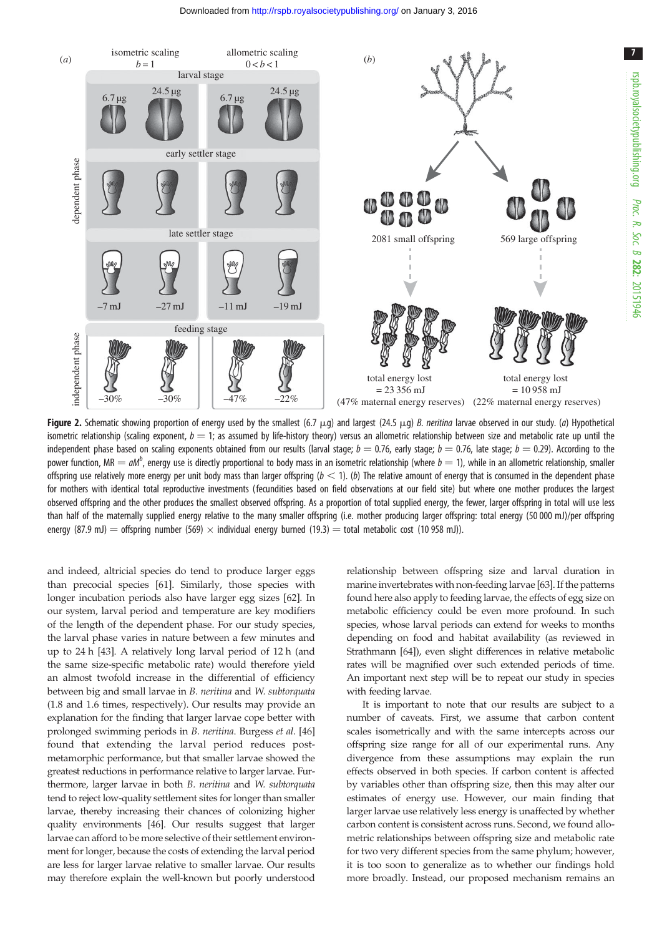<span id="page-6-0"></span>

Figure 2. Schematic showing proportion of energy used by the smallest (6.7  $\mu$ g) and largest (24.5  $\mu$ g) B. neritina larvae observed in our study. (a) Hypothetical isometric relationship (scaling exponent,  $b = 1$ ; as assumed by life-history theory) versus an allometric relationship between size and metabolic rate up until the independent phase based on scaling exponents obtained from our results (larval stage;  $b = 0.76$ , early stage;  $b = 0.76$ , late stage;  $b = 0.29$ ). According to the power function, MR = aM<sup>b</sup>, energy use is directly proportional to body mass in an isometric relationship (where  $b = 1$ ), while in an allometric relationship, smaller offspring use relatively more energy per unit body mass than larger offspring  $(b < 1)$ . (b) The relative amount of energy that is consumed in the dependent phase for mothers with identical total reproductive investments (fecundities based on field observations at our field site) but where one mother produces the largest observed offspring and the other produces the smallest observed offspring. As a proportion of total supplied energy, the fewer, larger offspring in total will use less than half of the maternally supplied energy relative to the many smaller offspring (i.e. mother producing larger offspring: total energy (50 000 mJ)/per offspring energy (87.9 mJ)  $=$  offspring number (569)  $\times$  individual energy burned (19.3)  $=$  total metabolic cost (10 958 mJ)).

and indeed, altricial species do tend to produce larger eggs than precocial species [[61\]](#page-8-0). Similarly, those species with longer incubation periods also have larger egg sizes [[62\]](#page-8-0). In our system, larval period and temperature are key modifiers of the length of the dependent phase. For our study species, the larval phase varies in nature between a few minutes and up to 24 h [[43\]](#page-8-0). A relatively long larval period of 12 h (and the same size-specific metabolic rate) would therefore yield an almost twofold increase in the differential of efficiency between big and small larvae in B. neritina and W. subtorquata (1.8 and 1.6 times, respectively). Our results may provide an explanation for the finding that larger larvae cope better with prolonged swimming periods in B. neritina. Burgess et al. [[46\]](#page-8-0) found that extending the larval period reduces postmetamorphic performance, but that smaller larvae showed the greatest reductions in performance relative to larger larvae. Furthermore, larger larvae in both B. neritina and W. subtorquata tend to reject low-quality settlement sites for longer than smaller larvae, thereby increasing their chances of colonizing higher quality environments [[46](#page-8-0)]. Our results suggest that larger larvae can afford to be more selective of their settlement environment for longer, because the costs of extending the larval period are less for larger larvae relative to smaller larvae. Our results may therefore explain the well-known but poorly understood

relationship between offspring size and larval duration in marine invertebrates with non-feeding larvae [[63](#page-8-0)]. If the patterns found here also apply to feeding larvae, the effects of egg size on metabolic efficiency could be even more profound. In such species, whose larval periods can extend for weeks to months depending on food and habitat availability (as reviewed in Strathmann [[64](#page-8-0)]), even slight differences in relative metabolic rates will be magnified over such extended periods of time. An important next step will be to repeat our study in species with feeding larvae.

It is important to note that our results are subject to a number of caveats. First, we assume that carbon content scales isometrically and with the same intercepts across our offspring size range for all of our experimental runs. Any divergence from these assumptions may explain the run effects observed in both species. If carbon content is affected by variables other than offspring size, then this may alter our estimates of energy use. However, our main finding that larger larvae use relatively less energy is unaffected by whether carbon content is consistent across runs. Second, we found allometric relationships between offspring size and metabolic rate for two very different species from the same phylum; however, it is too soon to generalize as to whether our findings hold more broadly. Instead, our proposed mechanism remains an 7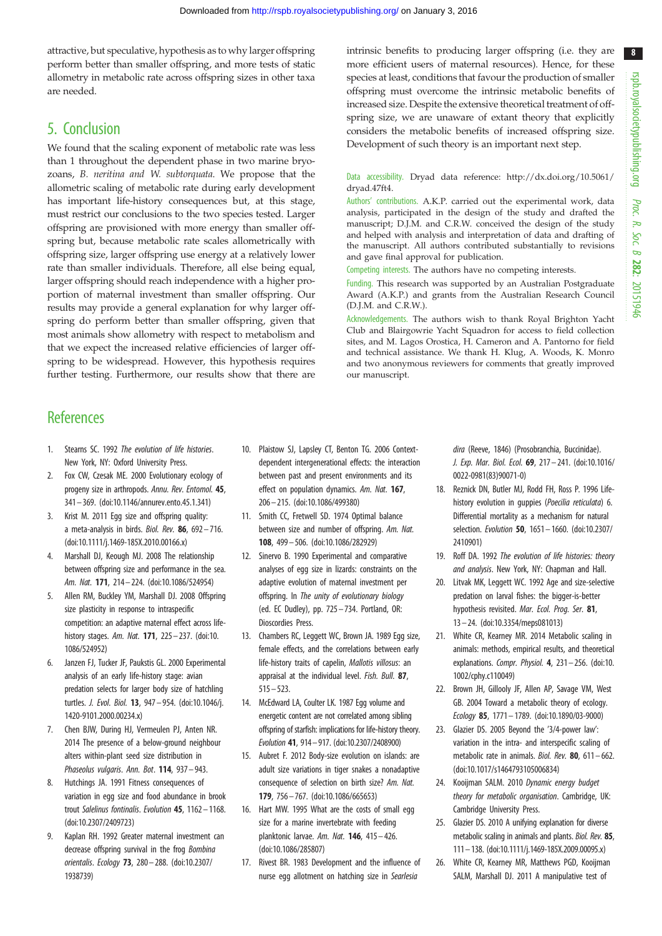8

<span id="page-7-0"></span>attractive, but speculative, hypothesis as to why larger offspring perform better than smaller offspring, and more tests of static allometry in metabolic rate across offspring sizes in other taxa are needed.

## 5. Conclusion

We found that the scaling exponent of metabolic rate was less than 1 throughout the dependent phase in two marine bryozoans, B. neritina and W. subtorquata. We propose that the allometric scaling of metabolic rate during early development has important life-history consequences but, at this stage, must restrict our conclusions to the two species tested. Larger offspring are provisioned with more energy than smaller offspring but, because metabolic rate scales allometrically with offspring size, larger offspring use energy at a relatively lower rate than smaller individuals. Therefore, all else being equal, larger offspring should reach independence with a higher proportion of maternal investment than smaller offspring. Our results may provide a general explanation for why larger offspring do perform better than smaller offspring, given that most animals show allometry with respect to metabolism and that we expect the increased relative efficiencies of larger offspring to be widespread. However, this hypothesis requires further testing. Furthermore, our results show that there are intrinsic benefits to producing larger offspring (i.e. they are more efficient users of maternal resources). Hence, for these species at least, conditions that favour the production of smaller offspring must overcome the intrinsic metabolic benefits of increased size. Despite the extensive theoretical treatment of offspring size, we are unaware of extant theory that explicitly considers the metabolic benefits of increased offspring size. Development of such theory is an important next step.

Data accessibility. Dryad data reference: [http://dx.doi.org/10.5061/](http://dx.doi.org/10.5061/dryad.47ft4) [dryad.47ft4.](http://dx.doi.org/10.5061/dryad.47ft4)

Authors' contributions. A.K.P. carried out the experimental work, data analysis, participated in the design of the study and drafted the manuscript; D.J.M. and C.R.W. conceived the design of the study and helped with analysis and interpretation of data and drafting of the manuscript. All authors contributed substantially to revisions and gave final approval for publication.

Competing interests. The authors have no competing interests.

Funding. This research was supported by an Australian Postgraduate Award (A.K.P.) and grants from the Australian Research Council (D.J.M. and C.R.W.).

Acknowledgements. The authors wish to thank Royal Brighton Yacht Club and Blairgowrie Yacht Squadron for access to field collection sites, and M. Lagos Orostica, H. Cameron and A. Pantorno for field and technical assistance. We thank H. Klug, A. Woods, K. Monro and two anonymous reviewers for comments that greatly improved our manuscript.

## **References**

- 1. Stearns SC. 1992 The evolution of life histories. New York, NY: Oxford University Press.
- 2. Fox CW, Czesak ME. 2000 Evolutionary ecology of progeny size in arthropods. Annu. Rev. Entomol. 45, 341– 369. ([doi:10.1146/annurev.ento.45.1.341\)](http://dx.doi.org/10.1146/annurev.ento.45.1.341)
- 3. Krist M. 2011 Egg size and offspring quality: a meta-analysis in birds. Biol. Rev.  $86$ ,  $692 - 716$ . [\(doi:10.1111/j.1469-185X.2010.00166.x](http://dx.doi.org/10.1111/j.1469-185X.2010.00166.x))
- 4. Marshall DJ, Keough MJ. 2008 The relationship between offspring size and performance in the sea. Am. Nat. 171, 214– 224. [\(doi:10.1086/524954](http://dx.doi.org/10.1086/524954))
- 5. Allen RM, Buckley YM, Marshall DJ. 2008 Offspring size plasticity in response to intraspecific competition: an adaptive maternal effect across lifehistory stages. Am. Nat. **171**, 225-237. [\(doi:10.](http://dx.doi.org/10.1086/524952) [1086/524952](http://dx.doi.org/10.1086/524952))
- 6. Janzen FJ, Tucker JF, Paukstis GL. 2000 Experimental analysis of an early life-history stage: avian predation selects for larger body size of hatchling turtles. J. Evol. Biol. 13, 947– 954. [\(doi:10.1046/j.](http://dx.doi.org/10.1046/j.1420-9101.2000.00234.x) [1420-9101.2000.00234.x\)](http://dx.doi.org/10.1046/j.1420-9101.2000.00234.x)
- 7. Chen BJW, During HJ, Vermeulen PJ, Anten NR. 2014 The presence of a below-ground neighbour alters within-plant seed size distribution in Phaseolus vulgaris. Ann. Bot. 114, 937-943.
- Hutchings JA. 1991 Fitness consequences of variation in egg size and food abundance in brook trout Salelinus fontinalis. Evolution 45, 1162 – 1168. [\(doi:10.2307/2409723\)](http://dx.doi.org/10.2307/2409723)
- Kaplan RH. 1992 Greater maternal investment can decrease offspring survival in the frog Bombina orientalis. Ecology 73, 280 – 288. [\(doi:10.2307/](http://dx.doi.org/10.2307/1938739) [1938739\)](http://dx.doi.org/10.2307/1938739)
- 10. Plaistow SJ, Lapsley CT, Benton TG. 2006 Contextdependent intergenerational effects: the interaction between past and present environments and its effect on population dynamics. Am. Nat. 167, 206 – 215. [\(doi:10.1086/499380](http://dx.doi.org/10.1086/499380))
- 11. Smith CC, Fretwell SD. 1974 Optimal balance between size and number of offspring. Am. Nat. 108, 499 – 506. [\(doi:10.1086/282929](http://dx.doi.org/10.1086/282929))
- 12. Sinervo B. 1990 Experimental and comparative analyses of egg size in lizards: constraints on the adaptive evolution of maternal investment per offspring. In The unity of evolutionary biology (ed. EC Dudley), pp. 725 – 734. Portland, OR: Dioscordies Press.
- 13. Chambers RC, Leggett WC, Brown JA. 1989 Egg size, female effects, and the correlations between early life-history traits of capelin, Mallotis villosus: an appraisal at the individual level. Fish. Bull. 87,  $515 - 523$ .
- 14. McEdward LA, Coulter LK. 1987 Egg volume and energetic content are not correlated among sibling offspring of starfish: implications for life-history theory. Evolution 41, 914–917. [\(doi:10.2307/2408900\)](http://dx.doi.org/10.2307/2408900)
- 15. Aubret F. 2012 Body-size evolution on islands: are adult size variations in tiger snakes a nonadaptive consequence of selection on birth size? Am. Nat. 179, 756 – 767. [\(doi:10.1086/665653](http://dx.doi.org/10.1086/665653))
- 16. Hart MW. 1995 What are the costs of small egg size for a marine invertebrate with feeding planktonic larvae. Am. Nat. 146, 415– 426. [\(doi:10.1086/285807\)](http://dx.doi.org/10.1086/285807)
- 17. Rivest BR. 1983 Development and the influence of nurse egg allotment on hatching size in Searlesia

dira (Reeve, 1846) (Prosobranchia, Buccinidae). J. Exp. Mar. Biol. Ecol. 69, 217– 241. [\(doi:10.1016/](http://dx.doi.org/10.1016/0022-0981(83)90071-0) [0022-0981\(83\)90071-0](http://dx.doi.org/10.1016/0022-0981(83)90071-0))

- 18. Reznick DN, Butler MJ, Rodd FH, Ross P. 1996 Lifehistory evolution in quppies (Poecilia reticulata) 6. Differential mortality as a mechanism for natural selection. Evolution 50, 1651 - 1660. [\(doi:10.2307/](http://dx.doi.org/10.2307/2410901) [2410901](http://dx.doi.org/10.2307/2410901))
- 19. Roff DA. 1992 The evolution of life histories: theory and analysis. New York, NY: Chapman and Hall.
- 20. Litvak MK, Leggett WC. 1992 Age and size-selective predation on larval fishes: the bigger-is-better hypothesis revisited. Mar. Ecol. Prog. Ser. 81, 13– 24. [\(doi:10.3354/meps081013](http://dx.doi.org/10.3354/meps081013))
- 21. White CR, Kearney MR. 2014 Metabolic scaling in animals: methods, empirical results, and theoretical explanations. Compr. Physiol. 4, 231– 256. ([doi:10.](http://dx.doi.org/10.1002/cphy.c110049) [1002/cphy.c110049\)](http://dx.doi.org/10.1002/cphy.c110049)
- 22. Brown JH, Gillooly JF, Allen AP, Savage VM, West GB. 2004 Toward a metabolic theory of ecology. Ecology 85, 1771– 1789. [\(doi:10.1890/03-9000](http://dx.doi.org/10.1890/03-9000))
- 23. Glazier DS. 2005 Beyond the '3/4-power law': variation in the intra- and interspecific scaling of metabolic rate in animals. Biol. Rev. 80, 611 – 662. ([doi:10.1017/s1464793105006834](http://dx.doi.org/10.1017/s1464793105006834))
- 24. Kooijman SALM. 2010 Dynamic energy budget theory for metabolic organisation. Cambridge, UK: Cambridge University Press.
- 25. Glazier DS. 2010 A unifying explanation for diverse metabolic scaling in animals and plants. Biol. Rev. 85, 111–138. ([doi:10.1111/j.1469-185X.2009.00095.x](http://dx.doi.org/10.1111/j.1469-185X.2009.00095.x))
- 26. White CR, Kearney MR, Matthews PGD, Kooijman SALM, Marshall DJ. 2011 A manipulative test of